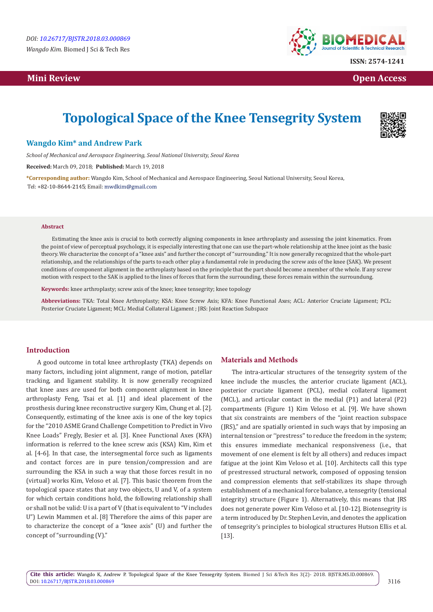# **Mini Review Open Access**



**ISSN: 2574-1241**

# **Topological Space of the Knee Tensegrity System**



## **Wangdo Kim\* and Andrew Park**

*School of Mechanical and Aerospace Engineering, Seoul National University, Seoul Korea*

**Received:** March 09, 2018; **Published:** March 19, 2018

**\*Corresponding author:** Wangdo Kim, School of Mechanical and Aerospace Engineering, Seoul National University, Seoul Korea, Tel: +82-10-8644-2145; Email: mwdkim@gmail.com

#### **Abstract**

Estimating the knee axis is crucial to both correctly aligning components in knee arthroplasty and assessing the joint kinematics. From the point of view of perceptual psychology, it is especially interesting that one can use the part-whole relationship at the knee joint as the basic theory. We characterize the concept of a "knee axis" and further the concept of "surrounding." It is now generally recognized that the whole-part relationship, and the relationships of the parts to each other play a fundamental role in producing the screw axis of the knee (SAK). We present conditions of component alignment in the arthroplasty based on the principle that the part should become a member of the whole. If any screw motion with respect to the SAK is applied to the lines of forces that form the surrounding, these forces remain within the surroundung.

**Keywords:** knee arthroplasty; screw axis of the knee; knee tensegrity; knee topology

**Abbreviations:** TKA: Total Knee Arthroplasty; KSA: Knee Screw Axis; KFA: Knee Functional Axes; ACL: Anterior Cruciate Ligament; PCL: Posterior Cruciate Ligament; MCL: Medial Collateral Ligament ; JRS: Joint Reaction Subspace

### **Introduction**

A good outcome in total knee arthroplasty (TKA) depends on many factors, including joint alignment, range of motion, patellar tracking, and ligament stability. It is now generally recognized that knee axes are used for both component alignment in knee arthroplasty Feng, Tsai et al. [1] and ideal placement of the prosthesis during knee reconstructive surgery Kim, Chung et al. [2]. Consequently, estimating of the knee axis is one of the key topics for the "2010 ASME Grand Challenge Competition to Predict in Vivo Knee Loads" Fregly, Besier et al. [3]. Knee Functional Axes (KFA) information is referred to the knee screw axis (KSA) Kim, Kim et al. [4-6]. In that case, the intersegmental force such as ligaments and contact forces are in pure tension/compression and are surrounding the KSA in such a way that those forces result in no (virtual) works Kim, Veloso et al. [7]. This basic theorem from the topological space states that any two objects, U and V, of a system for which certain conditions hold, the following relationship shall or shall not be valid: U is a part of V (that is equivalent to "V includes U") Lewin Mammen et al. [8] Therefore the aims of this paper are to characterize the concept of a "knee axis" (U) and further the concept of "surrounding (V)."

#### **Materials and Methods**

The intra-articular structures of the tensegrity system of the knee include the muscles, the anterior cruciate ligament (ACL), posterior cruciate ligament (PCL), medial collateral ligament (MCL), and articular contact in the medial (P1) and lateral (P2) compartments (Figure 1) Kim Veloso et al. [9]. We have shown that six constraints are members of the "joint reaction subspace (JRS)," and are spatially oriented in such ways that by imposing an internal tension or ''prestress'' to reduce the freedom in the system; this ensures immediate mechanical responsiveness (i.e., that movement of one element is felt by all others) and reduces impact fatigue at the joint Kim Veloso et al. [10]. Architects call this type of prestressed structural network, composed of opposing tension and compression elements that self-stabilizes its shape through establishment of a mechanical force balance, a tensegrity (tensional integrity) structure (Figure 1). Alternatively, this means that JRS does not generate power Kim Veloso et al. [10-12]. Biotensegrity is a term introduced by Dr. Stephen Levin, and denotes the application of tensegrity's principles to biological structures Hutson Ellis et al. [13].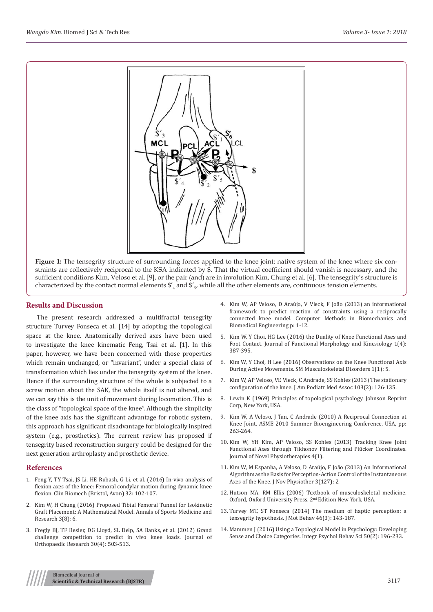

Figure 1: The tensegrity structure of surrounding forces applied to the knee joint: native system of the knee where six constraints are collectively reciprocal to the KSA indicated by \$. That the virtual coefficient should vanish is necessary, and the sufficient conditions Kim, Veloso et al. [9], or the pair (and) are in involution Kim, Chung et al. [6]. The tensegrity's structure is characterized by the contact normal elements  $\frac{6}{4}$  and  $\frac{6}{5}$ , while all the other elements are, continuous tension elements.

#### **Results and Discussion**

The present research addressed a multifractal tensegrity structure Turvey Fonseca et al. [14] by adopting the topological space at the knee. Anatomically derived axes have been used to investigate the knee kinematic Feng, Tsai et al. [1]. In this paper, however, we have been concerned with those properties which remain unchanged, or "invariant", under a special class of transformation which lies under the tensegrity system of the knee. Hence if the surrounding structure of the whole is subjected to a screw motion about the SAK, the whole itself is not altered, and we can say this is the unit of movement during locomotion. This is the class of "topological space of the knee". Although the simplicity of the knee axis has the significant advantage for robotic system, this approach has significant disadvantage for biologically inspired system (e.g., prosthetics). The current review has proposed if tensegrity based reconstruction surgery could be designed for the next generation arthroplasty and prosthetic device.

#### **References**

- 1. [Feng Y, TY Tsai, JS Li, HE Rubash, G Li, et al. \(2016\) In-vivo analysis of](https://www.ncbi.nlm.nih.gov/pubmed/26777272)  [flexion axes of the knee: Femoral condylar motion during dynamic knee](https://www.ncbi.nlm.nih.gov/pubmed/26777272)  [flexion. Clin Biomech \(Bristol, Avon\) 32: 102-107.](https://www.ncbi.nlm.nih.gov/pubmed/26777272)
- 2. [Kim W, H Chung \(2016\) Proposed Tibial Femoral Tunnel for Isokinetic](https://www.researchgate.net/publication/311494324_Proposed_Tibial_Femoral_Tunnel_for_Isokinetic_Graft_Placement_A_Mathematical_Model)  [Graft Placement: A Mathematical Model. Annals of Sports Medicine and](https://www.researchgate.net/publication/311494324_Proposed_Tibial_Femoral_Tunnel_for_Isokinetic_Graft_Placement_A_Mathematical_Model)  [Research 3\(8\): 6.](https://www.researchgate.net/publication/311494324_Proposed_Tibial_Femoral_Tunnel_for_Isokinetic_Graft_Placement_A_Mathematical_Model)
- 3. [Fregly BJ, TF Besier, DG Lloyd, SL Delp, SA Banks, et al. \(2012\) Grand](https://www.ncbi.nlm.nih.gov/pubmed/22161745)  [challenge competition to predict in vivo knee loads. Journal of](https://www.ncbi.nlm.nih.gov/pubmed/22161745)  [Orthopaedic Research 30\(4\): 503-513.](https://www.ncbi.nlm.nih.gov/pubmed/22161745)
- 4. Kim W, AP Veloso, D Araújo, V Vleck, F João (2013) an informational framework to predict reaction of constraints using a reciprocally connected knee model. Computer Methods in Biomechanics and Biomedical Engineering p: 1-12.
- 5. [Kim W, Y Choi, HG Lee \(2016\) the Duality of Knee Functional Axes and](http://www.mdpi.com/2411-5142/1/4/387) [Foot Contact. Journal of Functional Morphology and Kinesiology 1\(4\):](http://www.mdpi.com/2411-5142/1/4/387) [387-395.](http://www.mdpi.com/2411-5142/1/4/387)
- 6. [Kim W, Y Choi, H Lee \(2016\) Observations on the Knee Functional Axis](https://www.researchgate.net/publication/310442228_Observations_on_the_Knee_Functional_Axis_During_Active_Movements) [During Active Movements. SM Musculoskeletal Disorders 1\(1\): 5.](https://www.researchgate.net/publication/310442228_Observations_on_the_Knee_Functional_Axis_During_Active_Movements)
- 7. [Kim W, AP Veloso, VE Vleck, C Andrade, SS Kohles \(2013\) The stationary](https://www.ncbi.nlm.nih.gov/pubmed/23536503) [configuration of the knee. J Am Podiatr Med Assoc 103\(2\): 126-135.](https://www.ncbi.nlm.nih.gov/pubmed/23536503)
- 8. Lewin K (1969) Principles of topological psychology. Johnson Reprint Corp, New York, USA.
- 9. [Kim W, A Veloso, J Tan, C Andrade \(2010\) A Reciprocal Connection at](http://proceedings.asmedigitalcollection.asme.org/proceeding.aspx?articleid=1713896) [Knee Joint. ASME 2010 Summer Bioengineering Conference, USA, pp:](http://proceedings.asmedigitalcollection.asme.org/proceeding.aspx?articleid=1713896) [263-264.](http://proceedings.asmedigitalcollection.asme.org/proceeding.aspx?articleid=1713896)
- 10. [Kim W, YH Kim, AP Veloso, SS Kohles \(2013\) Tracking Knee Joint](https://www.ncbi.nlm.nih.gov/pubmed/23720709) [Functional Axes through Tikhonov Filtering and Plűcker Coordinates.](https://www.ncbi.nlm.nih.gov/pubmed/23720709) [Journal of Novel Physiotherapies 4\(1\).](https://www.ncbi.nlm.nih.gov/pubmed/23720709)
- 11. [Kim W, M Espanha, A Veloso, D Araújo, F João \(2013\) An Informational](https://www.omicsonline.org/open-access/an-informational-algorithm-as-the-basis-for-perception-action-control-of-the-instantaneous-axes-of-the-knee-2165-7025.1000127.php?aid=12180) [Algorithm as the Basis for Perception-Action Control of the Instantaneous](https://www.omicsonline.org/open-access/an-informational-algorithm-as-the-basis-for-perception-action-control-of-the-instantaneous-axes-of-the-knee-2165-7025.1000127.php?aid=12180) [Axes of the Knee. J Nov Physiother 3\(127\): 2.](https://www.omicsonline.org/open-access/an-informational-algorithm-as-the-basis-for-perception-action-control-of-the-instantaneous-axes-of-the-knee-2165-7025.1000127.php?aid=12180)
- 12. [Hutson MA, RM Ellis \(2006\) Textbook of musculoskeletal medicine.](https://global.oup.com/academic/product/oxford-textbook-of-musculoskeletal-medicine-9780199674107?cc=in&lang=en&) [Oxford, Oxford University Press, 2nd Edition New York, USA.](https://global.oup.com/academic/product/oxford-textbook-of-musculoskeletal-medicine-9780199674107?cc=in&lang=en&)
- 13. [Turvey MT, ST Fonseca \(2014\) The medium of haptic perception: a](https://www.ncbi.nlm.nih.gov/pubmed/24628057) [tensegrity hypothesis. J Mot Behav 46\(3\): 143-187.](https://www.ncbi.nlm.nih.gov/pubmed/24628057)
- 14. [Mammen J \(2016\) Using a Topological Model in Psychology: Developing](https://slideheaven.com/using-a-topological-model-in-psychology-developing-sense-and-choice-categories.html) [Sense and Choice Categories. Integr Psychol Behav Sci 50\(2\): 196-233.](https://slideheaven.com/using-a-topological-model-in-psychology-developing-sense-and-choice-categories.html)